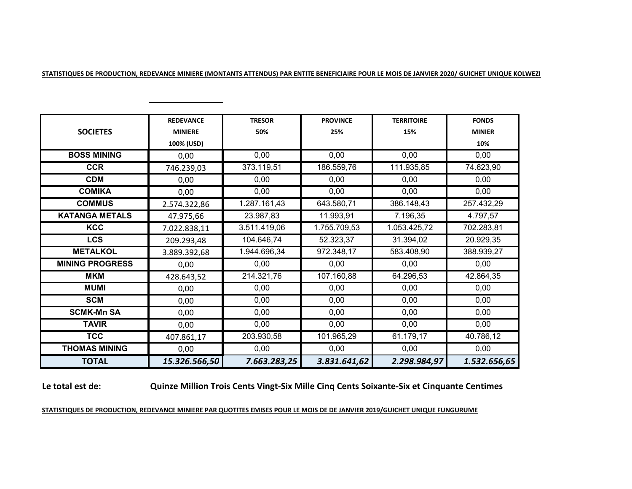| STATISTIQUES DE PRODUCTION. REDEVANCE MINIERE (MONTANTS ATTENDUS) PAR ENTITE BENEFICIAIRE POUR LE MOIS DE JANVIER 2020/ GUICHET UNIQUE KOLWEZI |
|------------------------------------------------------------------------------------------------------------------------------------------------|
|------------------------------------------------------------------------------------------------------------------------------------------------|

|                        | <b>REDEVANCE</b> | <b>TRESOR</b> | <b>PROVINCE</b> | <b>TERRITOIRE</b> | <b>FONDS</b>      |
|------------------------|------------------|---------------|-----------------|-------------------|-------------------|
| <b>SOCIETES</b>        | <b>MINIERE</b>   | 50%           | 25%             | 15%               | <b>MINIER</b>     |
|                        | 100% (USD)       |               |                 |                   | 10%               |
| <b>BOSS MINING</b>     | 0,00             | 0,00          | 0,00            | 0,00              | 0,00              |
| <b>CCR</b>             | 746.239,03       | 373.119,51    | 186.559,76      | 111.935,85        | 74.623,90         |
| <b>CDM</b>             | 0,00             | 0,00          | 0,00            | 0,00              | 0,00              |
| <b>COMIKA</b>          | 0,00             | 0,00          | 0,00            | 0,00              | 0,00              |
| <b>COMMUS</b>          | 2.574.322,86     | 1.287.161,43  | 643.580,71      | 386.148,43        | 257.432,29        |
| <b>KATANGA METALS</b>  | 47.975,66        | 23.987,83     | 11.993,91       | 7.196,35          | $\sqrt{4.797,57}$ |
| <b>KCC</b>             | 7.022.838,11     | 3.511.419,06  | 1.755.709,53    | 1.053.425,72      | 702.283,81        |
| <b>LCS</b>             | 209.293,48       | 104.646,74    | 52.323,37       | 31.394,02         | 20.929,35         |
| <b>METALKOL</b>        | 3.889.392,68     | 1.944.696,34  | 972.348,17      | 583.408,90        | 388.939,27        |
| <b>MINING PROGRESS</b> | 0,00             | 0,00          | 0,00            | 0,00              | 0,00              |
| <b>MKM</b>             | 428.643,52       | 214.321,76    | 107.160,88      | 64.296,53         | 42.864,35         |
| <b>MUMI</b>            | 0,00             | 0,00          | 0,00            | 0,00              | 0,00              |
| <b>SCM</b>             | 0,00             | 0,00          | 0,00            | 0,00              | 0,00              |
| <b>SCMK-Mn SA</b>      | 0,00             | 0,00          | 0,00            | 0,00              | 0,00              |
| <b>TAVIR</b>           | 0,00             | 0,00          | 0,00            | 0,00              | 0,00              |
| <b>TCC</b>             | 407.861,17       | 203.930,58    | 101.965,29      | 61.179,17         | 40.786,12         |
| <b>THOMAS MINING</b>   | 0,00             | 0,00          | 0,00            | 0,00              | 0,00              |
| <b>TOTAL</b>           | 15.326.566,50    | 7.663.283,25  | 3.831.641,62    | 2.298.984,97      | 1.532.656,65      |

## **Le total est de:**

**Quinze Million Trois Cents Vingt-Six Mille Cinq Cents Soixante-Six et Cinquante Centimes**

## **STATISTIQUES DE PRODUCTION, REDEVANCE MINIERE PAR QUOTITES EMISES POUR LE MOIS DE DE JANVIER 2019/GUICHET UNIQUE FUNGURUME**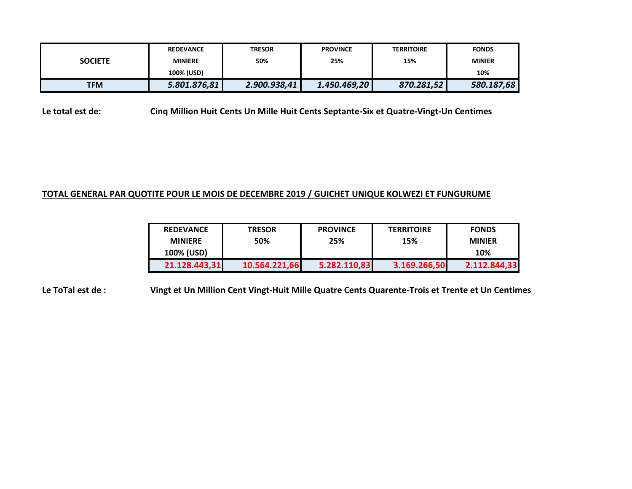|                | <b>REDEVANCE</b> | <b>TRESOR</b> | <b>PROVINCE</b> | <b>TERRITOIRE</b> | <b>FONDS</b>  |  |
|----------------|------------------|---------------|-----------------|-------------------|---------------|--|
| <b>SOCIETE</b> | <b>MINIERE</b>   | 50%           | 25%             | 15%               | <b>MINIER</b> |  |
|                | 100% (USD)       |               |                 |                   | 10%           |  |
| <b>TFM</b>     | 5.801.876,81     | 2.900.938,41  | 1.450.469,20    | 870.281,52        | 580.187,68    |  |

**Le total est de: Cinq Million Huit Cents Un Mille Huit Cents Septante-Six et Quatre-Vingt-Un Centimes**

## **TOTAL GENERAL PAR QUOTITE POUR LE MOIS DE DECEMBRE 2019 / GUICHET UNIQUE KOLWEZI ET FUNGURUME**

| <b>REDEVANCE</b> | <b>TRESOR</b> | <b>PROVINCE</b> | <b>TERRITOIRE</b> | <b>FONDS</b>  |
|------------------|---------------|-----------------|-------------------|---------------|
| <b>MINIERE</b>   | 50%           | 25%             | 15%               | <b>MINIER</b> |
| 100% (USD)       |               |                 |                   | 10%           |
| 21.128.443,31    | 10.564.221,66 | 5.282.110,83    | 3.169.266,50      | 2.112.844,33  |

**Le ToTal est de : Vingt et Un Million Cent Vingt-Huit Mille Quatre Cents Quarente-Trois et Trente et Un Centimes**